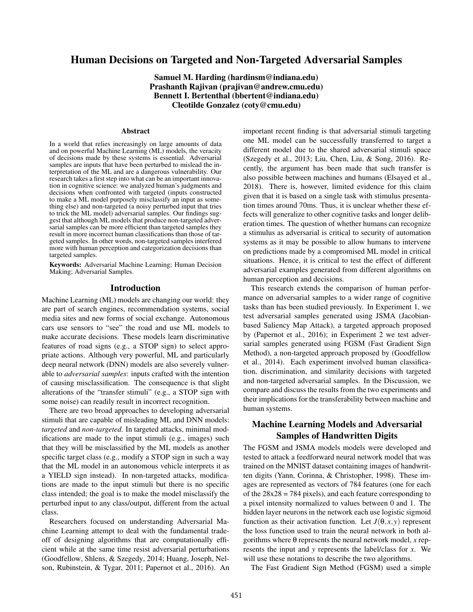# Human Decisions on Targeted and Non-Targeted Adversarial Samples

Samuel M. Harding (hardinsm@indiana.edu) Prashanth Rajivan (prajivan@andrew.cmu.edu) Bennett I. Bertenthal (bbertent@indiana.edu) Cleotilde Gonzalez (coty@cmu.edu)

#### **Abstract**

In a world that relies increasingly on large amounts of data and on powerful Machine Learning (ML) models, the veracity of decisions made by these systems is essential. Adversarial samples are inputs that have been perturbed to mislead the interpretation of the ML and are a dangerous vulnerability. Our research takes a first step into what can be an important innovation in cognitive science: we analyzed human's judgments and decisions when confronted with targeted (inputs constructed to make a ML model purposely misclassify an input as something else) and non-targeted (a noisy perturbed input that tries to trick the ML model) adversarial samples. Our findings suggest that although ML models that produce non-targeted adversarial samples can be more efficient than targeted samples they result in more incorrect human classifications than those of targeted samples. In other words, non-targeted samples interfered more with human perception and categorization decisions than targeted samples.

Keywords: Adversarial Machine Learning; Human Decision Making; Adversarial Samples.

#### Introduction

Machine Learning (ML) models are changing our world: they are part of search engines, recommendation systems, social media sites and new forms of social exchange. Autonomous cars use sensors to "see" the road and use ML models to make accurate decisions. These models learn discriminative features of road signs (e.g., a STOP sign) to select appropriate actions. Although very powerful, ML and particularly deep neural network (DNN) models are also severely vulnerable to *adversarial samples*: inputs crafted with the intention of causing misclassification. The consequence is that slight alterations of the "transfer stimuli" (e.g., a STOP sign with some noise) can readily result in incorrect recognition.

There are two broad approaches to developing adversarial stimuli that are capable of misleading ML and DNN models: *targeted* and *non-targeted*. In targeted attacks, minimal modifications are made to the input stimuli (e.g., images) such that they will be misclassified by the ML models as another specific target class (e.g., modify a STOP sign in such a way that the ML model in an autonomous vehicle interprets it as a YIELD sign instead). In non-targeted attacks, modifications are made to the input stimuli but there is no specific class intended; the goal is to make the model misclassify the perturbed input to any class/output, different from the actual class.

Researchers focused on understanding Adversarial Machine Learning attempt to deal with the fundamental tradeoff of designing algorithms that are computationally efficient while at the same time resist adversarial perturbations (Goodfellow, Shlens, & Szegedy, 2014; Huang, Joseph, Nelson, Rubinstein, & Tygar, 2011; Papernot et al., 2016). An important recent finding is that adversarial stimuli targeting one ML model can be successfully transferred to target a different model due to the shared adversarial stimuli space (Szegedy et al., 2013; Liu, Chen, Liu, & Song, 2016). Recently, the argument has been made that such transfer is also possible between machines and humans (Elsayed et al., 2018). There is, however, limited evidence for this claim given that it is based on a single task with stimulus presentation times around 70ms. Thus, it is unclear whether these effects will generalize to other cognitive tasks and longer deliberation times. The question of whether humans can recognize a stimulus as adversarial is critical to security of automation systems as it may be possible to allow humans to intervene on predictions made by a compromised ML model in critical situations. Hence, it is critical to test the effect of different adversarial examples generated from different algorithms on human perception and decisions.

This research extends the comparison of human performance on adversarial samples to a wider range of cognitive tasks than has been studied previously. In Experiment 1, we test adversarial samples generated using JSMA (Jacobianbased Saliency Map Attack), a targeted approach proposed by (Papernot et al., 2016); in Experiment 2 we test adversarial samples generated using FGSM (Fast Gradient Sign Method), a non-targeted approach proposed by (Goodfellow et al., 2014). Each experiment involved human classification, discrimination, and similarity decisions with targeted and non-targeted adversarial samples. In the Discussion, we compare and discuss the results from the two experiments and their implications for the transferability between machine and human systems.

# Machine Learning Models and Adversarial Samples of Handwritten Digits

The FGSM and JSMA models models were developed and tested to attack a feedforward neural network model that was trained on the MNIST dataset containing images of handwritten digits (Yann, Corinna, & Christopher, 1998). These images are represented as vectors of 784 features (one for each of the  $28x28 = 784$  pixels), and each feature corresponding to a pixel intensity normalized to values between 0 and 1. The hidden layer neurons in the network each use logistic sigmoid function as their activation function. Let  $J(\theta, x, y)$  represent the loss function used to train the neural network in both algorithms where θ represents the neural network model, *x* represents the input and *y* represents the label/class for *x*. We will use these notations to describe the two algorithms.

The Fast Gradient Sign Method (FGSM) used a simple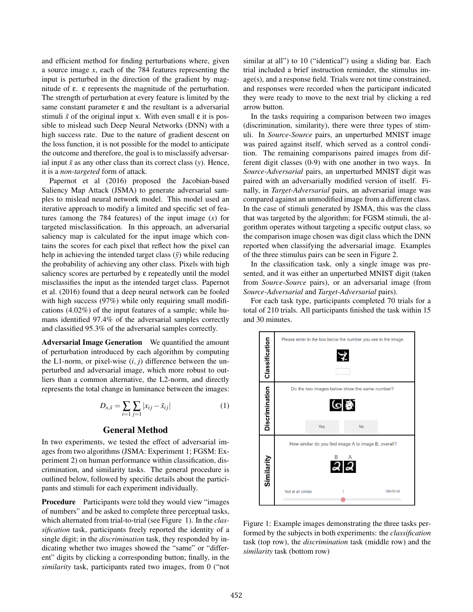and efficient method for finding perturbations where, given a source image *x*, each of the 784 features representing the input is perturbed in the direction of the gradient by magnitude of ε. ε represents the magnitude of the perturbation. The strength of perturbation at every feature is limited by the same constant parameter  $\varepsilon$  and the resultant is a adversarial stimuli  $\tilde{x}$  of the original input x. With even small  $\varepsilon$  it is possible to mislead such Deep Neural Networks (DNN) with a high success rate. Due to the nature of gradient descent on the loss function, it is not possible for the model to anticipate the outcome and therefore, the goal is to misclassify adversarial input  $\tilde{x}$  as any other class than its correct class (*y*). Hence, it is a *non-targeted* form of attack.

Papernot et al (2016) proposed the Jacobian-based Saliency Map Attack (JSMA) to generate adversarial samples to mislead neural network model. This model used an iterative approach to modify a limited and specific set of features (among the 784 features) of the input image (*x*) for targeted misclassification. In this approach, an adversarial saliency map is calculated for the input image which contains the scores for each pixel that reflect how the pixel can help in achieving the intended target class  $(\tilde{y})$  while reducing the probability of achieving any other class. Pixels with high saliency scores are perturbed by ε repeatedly until the model misclassifies the input as the intended target class. Papernot et al. (2016) found that a deep neural network can be fooled with high success (97%) while only requiring small modifications (4.02%) of the input features of a sample; while humans identified 97.4% of the adversarial samples correctly and classified 95.3% of the adversarial samples correctly.

Adversarial Image Generation We quantified the amount of perturbation introduced by each algorithm by computing the L1-norm, or pixel-wise  $(i, j)$  difference between the unperturbed and adversarial image, which more robust to outliers than a common alternative, the L2-norm, and directly represents the total change in luminance between the images:

$$
D_{x,\tilde{x}} = \sum_{i=1}^{\infty} \sum_{j=1}^{\infty} |x_{ij} - \tilde{x}_{ij}|
$$
 (1)

### General Method

In two experiments, we tested the effect of adversarial images from two algorithms (JSMA: Experiment 1; FGSM: Experiment 2) on human performance within classification, discrimination, and similarity tasks. The general procedure is outlined below, followed by specific details about the participants and stimuli for each experiment individually.

Procedure Participants were told they would view "images" of numbers" and be asked to complete three perceptual tasks, which alternated from trial-to-trial (see Figure 1). In the *classification* task, participants freely reported the identity of a single digit; in the *discrimination* task, they responded by indicating whether two images showed the "same" or "different" digits by clicking a corresponding button; finally, in the *similarity* task, participants rated two images, from 0 ("not similar at all") to 10 ("identical") using a sliding bar. Each trial included a brief instruction reminder, the stimulus image(s), and a response field. Trials were not time constrained, and responses were recorded when the participant indicated they were ready to move to the next trial by clicking a red arrow button.

In the tasks requiring a comparison between two images (discrimination, similarity), there were three types of stimuli. In *Source-Source* pairs, an unperturbed MNIST image was paired against itself, which served as a control condition. The remaining comparisons paired images from different digit classes (0-9) with one another in two ways. In *Source-Adversarial* pairs, an unperturbed MNIST digit was paired with an adversarially modified version of itself. Finally, in *Target-Adversarial* pairs, an adversarial image was compared against an unmodified image from a different class. In the case of stimuli generated by JSMA, this was the class that was targeted by the algorithm; for FGSM stimuli, the algorithm operates without targeting a specific output class, so the comparison image chosen was digit class which the DNN reported when classifying the adversarial image. Examples of the three stimulus pairs can be seen in Figure 2.

In the classification task, only a single image was presented, and it was either an unperturbed MNIST digit (taken from *Source-Source* pairs), or an adversarial image (from *Source-Adversarial* and *Target-Adversarial* pairs).

For each task type, participants completed 70 trials for a total of 210 trials. All participants finished the task within 15 and 30 minutes.



Figure 1: Example images demonstrating the three tasks performed by the subjects in both experiments: the *classification* task (top row), the *discrimination* task (middle row) and the *similarity* task (bottom row)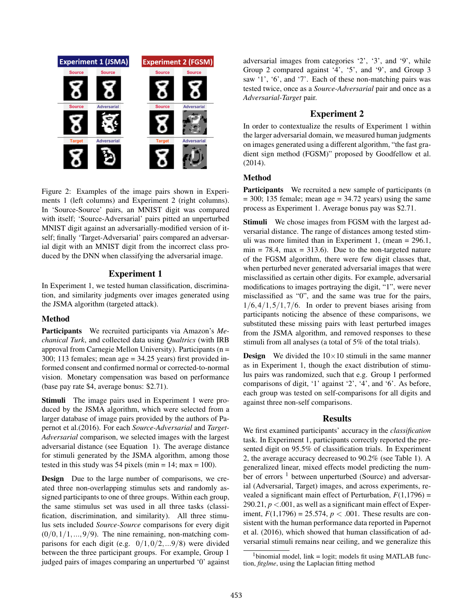

Figure 2: Examples of the image pairs shown in Experiments 1 (left columns) and Experiment 2 (right columns). In 'Source-Source' pairs, an MNIST digit was compared with itself; 'Source-Adversarial' pairs pitted an unperturbed MNIST digit against an adversarially-modified version of itself; finally 'Target-Adversarial' pairs compared an adversarial digit with an MNIST digit from the incorrect class produced by the DNN when classifying the adversarial image.

## Experiment 1

In Experiment 1, we tested human classification, discrimination, and similarity judgments over images generated using the JSMA algorithm (targeted attack).

## Method

Participants We recruited participants via Amazon's *Mechanical Turk*, and collected data using *Qualtrics* (with IRB approval from Carnegie Mellon University). Participants (n = 300; 113 females; mean age = 34.25 years) first provided informed consent and confirmed normal or corrected-to-normal vision. Monetary compensation was based on performance (base pay rate \$4, average bonus: \$2.71).

Stimuli The image pairs used in Experiment 1 were produced by the JSMA algorithm, which were selected from a larger database of image pairs provided by the authors of Papernot et al.(2016). For each *Source-Adversarial* and *Target-Adversarial* comparison, we selected images with the largest adversarial distance (see Equation 1). The average distance for stimuli generated by the JSMA algorithm, among those tested in this study was 54 pixels (min =  $14$ ; max =  $100$ ).

Design Due to the large number of comparisons, we created three non-overlapping stimulus sets and randomly assigned participants to one of three groups. Within each group, the same stimulus set was used in all three tasks (classification, discrimination, and similarity). All three stimulus sets included *Source-Source* comparisons for every digit  $(0/0,1/1,...,9/9)$ . The nine remaining, non-matching comparisons for each digit (e.g.  $0/1, 0/2, ...9/8$ ) were divided between the three participant groups. For example, Group 1 judged pairs of images comparing an unperturbed '0' against adversarial images from categories '2', '3', and '9', while Group 2 compared against '4', '5', and '9', and Group 3 saw '1', '6', and '7'. Each of these non-matching pairs was tested twice, once as a *Source-Adversarial* pair and once as a *Adversarial-Target* pair.

# Experiment 2

In order to contextualize the results of Experiment 1 within the larger adversarial domain, we measured human judgments on images generated using a different algorithm, "the fast gradient sign method (FGSM)" proposed by Goodfellow et al. (2014).

## Method

Participants We recruited a new sample of participants (n  $= 300$ ; 135 female; mean age  $= 34.72$  years) using the same process as Experiment 1. Average bonus pay was \$2.71.

**Stimuli** We chose images from FGSM with the largest adversarial distance. The range of distances among tested stimuli was more limited than in Experiment 1, (mean = 296.1,  $min = 78.4$ ,  $max = 313.6$ . Due to the non-targeted nature of the FGSM algorithm, there were few digit classes that, when perturbed never generated adversarial images that were misclassified as certain other digits. For example, adversarial modifications to images portraying the digit, "1", were never misclassified as "0", and the same was true for the pairs,  $1/6$ ,  $4/1$ ,  $5/1$ ,  $7/6$ . In order to prevent biases arising from participants noticing the absence of these comparisons, we substituted these missing pairs with least perturbed images from the JSMA algorithm, and removed responses to these stimuli from all analyses (a total of 5% of the total trials).

**Design** We divided the  $10 \times 10$  stimuli in the same manner as in Experiment 1, though the exact distribution of stimulus pairs was randomized, such that e.g. Group 1 performed comparisons of digit, '1' against '2', '4', and '6'. As before, each group was tested on self-comparisons for all digits and against three non-self comparisons.

#### Results

We first examined participants' accuracy in the *classification* task. In Experiment 1, participants correctly reported the presented digit on 95.5% of classification trials. In Experiment 2, the average accuracy decreased to 90.2% (see Table 1). A generalized linear, mixed effects model predicting the number of errors <sup>1</sup> between unperturbed (Source) and adversarial (Adversarial, Target) images, and across experiments, revealed a significant main effect of Perturbation,  $F(1,1796) =$  $290.21, p < .001$ , as well as a significant main effect of Experiment,  $F(1,1796) = 25.574$ ,  $p < .001$ . These results are consistent with the human performance data reported in Papernot et al. (2016), which showed that human classification of adversarial stimuli remains near ceiling, and we generalize this

 $1$ binomial model, link = logit; models fit using MATLAB function, *fitglme*, using the Laplacian fitting method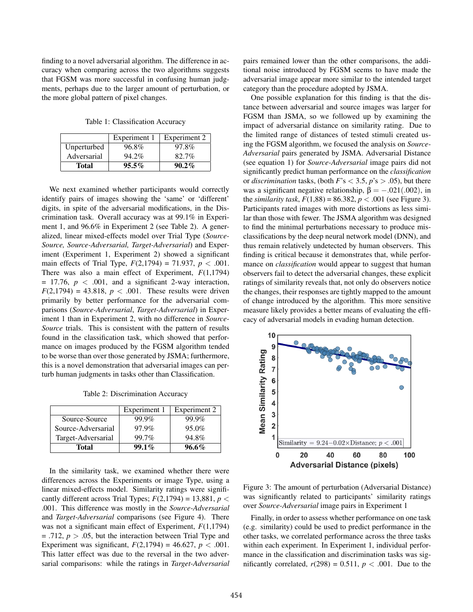finding to a novel adversarial algorithm. The difference in accuracy when comparing across the two algorithms suggests that FGSM was more successful in confusing human judgments, perhaps due to the larger amount of perturbation, or the more global pattern of pixel changes.

Table 1: Classification Accuracy

|             | Experiment 1 | Experiment 2 |
|-------------|--------------|--------------|
| Unperturbed | 96.8%        | 97.8%        |
| Adversarial | 94.2%        | 82.7%        |
| Total       | $95.5\%$     | $90.2\%$     |

We next examined whether participants would correctly identify pairs of images showing the 'same' or 'different' digits, in spite of the adversarial modifications, in the Discrimination task. Overall accuracy was at 99.1% in Experiment 1, and 96.6% in Experiment 2 (see Table 2). A generalized, linear mixed-effects model over Trial Type (*Source-Source, Source-Adversarial, Target-Adversarial*) and Experiment (Experiment 1, Experiment 2) showed a significant main effects of Trial Type,  $F(2,1794) = 71.937$ ,  $p < .001$ . There was also a main effect of Experiment, *F*(1,1794)  $= 17.76$ ,  $p < .001$ , and a significant 2-way interaction,  $F(2,1794) = 43.818, p < .001$ . These results were driven primarily by better performance for the adversarial comparisons (*Source-Adversarial*, *Target-Adversarial*) in Experiment 1 than in Experiment 2, with no difference in *Source-Source* trials. This is consistent with the pattern of results found in the classification task, which showed that performance on images produced by the FGSM algorithm tended to be worse than over those generated by JSMA; furthermore, this is a novel demonstration that adversarial images can perturb human judgments in tasks other than Classification.

Table 2: Discrimination Accuracy

|                    | Experiment 1 | Experiment 2 |
|--------------------|--------------|--------------|
| Source-Source      | 99.9%        | 99.9%        |
| Source-Adversarial | 97.9%        | 95.0%        |
| Target-Adversarial | 99.7%        | 94.8%        |
| <b>Total</b>       | $99.1\%$     | $96.6\%$     |

In the similarity task, we examined whether there were differences across the Experiments or image Type, using a linear mixed-effects model. Similarity ratings were significantly different across Trial Types;  $F(2,1794) = 13,881, p <$ .001. This difference was mostly in the *Source-Adversarial* and *Target-Adversarial* comparisons (see Figure 4). There was not a significant main effect of Experiment, *F*(1,1794)  $=$  .712,  $p > 0.05$ , but the interaction between Trial Type and Experiment was significant,  $F(2,1794) = 46.627$ ,  $p < .001$ . This latter effect was due to the reversal in the two adversarial comparisons: while the ratings in *Target-Adversarial* pairs remained lower than the other comparisons, the additional noise introduced by FGSM seems to have made the adversarial image appear more similar to the intended target category than the procedure adopted by JSMA.

One possible explanation for this finding is that the distance between adversarial and source images was larger for FGSM than JSMA, so we followed up by examining the impact of adversarial distance on similarity rating. Due to the limited range of distances of tested stimuli created using the FGSM algorithm, we focused the analysis on *Source-Adversarial* pairs generated by JSMA. Adversarial Distance (see equation 1) for *Source-Adversarial* image pairs did not significantly predict human performance on the *classification* or *discrimination* tasks, (both  $F$ 's  $<$  3.5,  $p$ 's  $>$  .05), but there was a significant negative relationship,  $\beta = -.021(.002)$ , in the *similarity task*,  $F(1,88) = 86.382$ ,  $p < .001$  (see Figure 3). Participants rated images with more distortions as less similar than those with fewer. The JSMA algorithm was designed to find the minimal perturbations necessary to produce misclassifications by the deep neural network model (DNN), and thus remain relatively undetected by human observers. This finding is critical because it demonstrates that, while performance on *classification* would appear to suggest that human observers fail to detect the adversarial changes, these explicit ratings of similarity reveals that, not only do observers notice the changes, their responses are tightly mapped to the amount of change introduced by the algorithm. This more sensitive measure likely provides a better means of evaluating the efficacy of adversarial models in evading human detection.



Figure 3: The amount of perturbation (Adversarial Distance) was significantly related to participants' similarity ratings over *Source-Adversarial* image pairs in Experiment 1

Finally, in order to assess whether performance on one task (e.g. similarity) could be used to predict performance in the other tasks, we correlated performance across the three tasks within each experiment. In Experiment 1, individual performance in the classification and discrimination tasks was significantly correlated,  $r(298) = 0.511$ ,  $p < .001$ . Due to the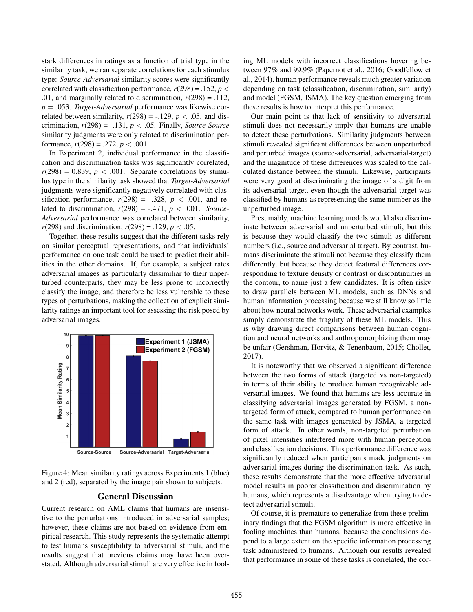stark differences in ratings as a function of trial type in the similarity task, we ran separate correlations for each stimulus type: *Source-Adversarial* similarity scores were significantly correlated with classification performance,  $r(298) = .152$ ,  $p <$ .01, and marginally related to discrimination,  $r(298) = .112$ , *p* = .053. *Target-Adversarial* performance was likewise correlated between similarity,  $r(298) = -.129$ ,  $p < .05$ , and discrimination,  $r(298) = -.131$ ,  $p < .05$ . Finally, *Source-Source* similarity judgments were only related to discrimination performance,  $r(298) = .272$ ,  $p < .001$ .

In Experiment 2, individual performance in the classification and discrimination tasks was significantly correlated,  $r(298) = 0.839$ ,  $p < .001$ . Separate correlations by stimulus type in the similarity task showed that *Target-Adversarial* judgments were significantly negatively correlated with classification performance,  $r(298) = -.328$ ,  $p < .001$ , and related to discrimination,  $r(298) = -.471$ ,  $p < .001$ . *Source*-*Adversarial* performance was correlated between similarity, *r*(298) and discrimination,  $r(298) = .129$ ,  $p < .05$ .

Together, these results suggest that the different tasks rely on similar perceptual representations, and that individuals' performance on one task could be used to predict their abilities in the other domains. If, for example, a subject rates adversarial images as particularly dissimiliar to their unperturbed counterparts, they may be less prone to incorrectly classify the image, and therefore be less vulnerable to these types of perturbations, making the collection of explicit similarity ratings an important tool for assessing the risk posed by adversarial images.



Figure 4: Mean similarity ratings across Experiments 1 (blue) and 2 (red), separated by the image pair shown to subjects.

# General Discussion

Current research on AML claims that humans are insensitive to the perturbations introduced in adversarial samples; however, these claims are not based on evidence from empirical research. This study represents the systematic attempt to test humans susceptibility to adversarial stimuli, and the results suggest that previous claims may have been overstated. Although adversarial stimuli are very effective in fooling ML models with incorrect classifications hovering between 97% and 99.9% (Papernot et al., 2016; Goodfellow et al., 2014), human performance reveals much greater variation depending on task (classification, discrimination, similarity) and model (FGSM, JSMA). The key question emerging from these results is how to interpret this performance.

Our main point is that lack of sensitivity to adversarial stimuli does not necessarily imply that humans are unable to detect these perturbations. Similarity judgments between stimuli revealed significant differences between unperturbed and perturbed images (source-adversarial, adversarial-target) and the magnitude of these differences was scaled to the calculated distance between the stimuli. Likewise, participants were very good at discriminating the image of a digit from its adversarial target, even though the adversarial target was classified by humans as representing the same number as the unperturbed image.

Presumably, machine learning models would also discriminate between adversarial and unperturbed stimuli, but this is because they would classify the two stimuli as different numbers (i.e., source and adversarial target). By contrast, humans discriminate the stimuli not because they classify them differently, but because they detect featural differences corresponding to texture density or contrast or discontinuities in the contour, to name just a few candidates. It is often risky to draw parallels between ML models, such as DNNs and human information processing because we still know so little about how neural networks work. These adversarial examples simply demonstrate the fragility of these ML models. This is why drawing direct comparisons between human cognition and neural networks and anthropomorphizing them may be unfair (Gershman, Horvitz, & Tenenbaum, 2015; Chollet, 2017).

It is noteworthy that we observed a significant difference between the two forms of attack (targeted vs non-targeted) in terms of their ability to produce human recognizable adversarial images. We found that humans are less accurate in classifying adversarial images generated by FGSM, a nontargeted form of attack, compared to human performance on the same task with images generated by JSMA, a targeted form of attack. In other words, non-targeted perturbation of pixel intensities interfered more with human perception and classification decisions. This performance difference was significantly reduced when participants made judgments on adversarial images during the discrimination task. As such, these results demonstrate that the more effective adversarial model results in poorer classification and discrimination by humans, which represents a disadvantage when trying to detect adversarial stimuli.

Of course, it is premature to generalize from these preliminary findings that the FGSM algorithm is more effective in fooling machines than humans, because the conclusions depend to a large extent on the specific information processing task administered to humans. Although our results revealed that performance in some of these tasks is correlated, the cor